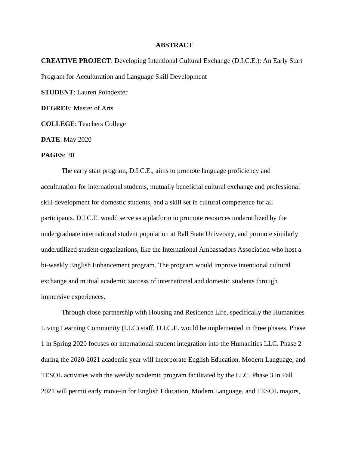## **ABSTRACT**

**CREATIVE PROJECT**: Developing Intentional Cultural Exchange (D.I.C.E.): An Early Start Program for Acculturation and Language Skill Development

**STUDENT**: Lauren Poindexter

**DEGREE**: Master of Arts

**COLLEGE**: Teachers College

**DATE**: May 2020

## **PAGES**: 30

The early start program, D.I.C.E., aims to promote language proficiency and acculturation for international students, mutually beneficial cultural exchange and professional skill development for domestic students, and a skill set in cultural competence for all participants. D.I.C.E. would serve as a platform to promote resources underutilized by the undergraduate international student population at Ball State University, and promote similarly underutilized student organizations, like the International Ambassadors Association who host a bi-weekly English Enhancement program. The program would improve intentional cultural exchange and mutual academic success of international and domestic students through immersive experiences.

Through close partnership with Housing and Residence Life, specifically the Humanities Living Learning Community (LLC) staff, D.I.C.E. would be implemented in three phases. Phase 1 in Spring 2020 focuses on international student integration into the Humanities LLC. Phase 2 during the 2020-2021 academic year will incorporate English Education, Modern Language, and TESOL activities with the weekly academic program facilitated by the LLC. Phase 3 in Fall 2021 will permit early move-in for English Education, Modern Language, and TESOL majors,